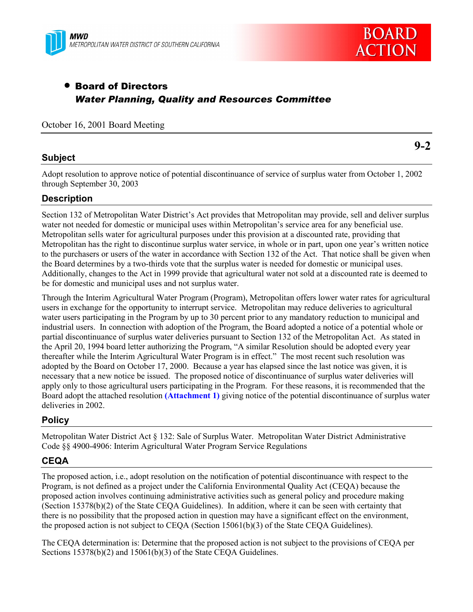



# • Board of Directors *Water Planning, Quality and Resources Committee*

October 16, 2001 Board Meeting

# **Subject**

**9-2**

Adopt resolution to approve notice of potential discontinuance of service of surplus water from October 1, 2002 through September 30, 2003

# **Description**

Section 132 of Metropolitan Water District's Act provides that Metropolitan may provide, sell and deliver surplus water not needed for domestic or municipal uses within Metropolitan's service area for any beneficial use. Metropolitan sells water for agricultural purposes under this provision at a discounted rate, providing that Metropolitan has the right to discontinue surplus water service, in whole or in part, upon one year's written notice to the purchasers or users of the water in accordance with Section 132 of the Act. That notice shall be given when the Board determines by a two-thirds vote that the surplus water is needed for domestic or municipal uses. Additionally, changes to the Act in 1999 provide that agricultural water not sold at a discounted rate is deemed to be for domestic and municipal uses and not surplus water.

Through the Interim Agricultural Water Program (Program), Metropolitan offers lower water rates for agricultural users in exchange for the opportunity to interrupt service. Metropolitan may reduce deliveries to agricultural water users participating in the Program by up to 30 percent prior to any mandatory reduction to municipal and industrial users. In connection with adoption of the Program, the Board adopted a notice of a potential whole or partial discontinuance of surplus water deliveries pursuant to Section 132 of the Metropolitan Act. As stated in the April 20, 1994 board letter authorizing the Program, "A similar Resolution should be adopted every year thereafter while the Interim Agricultural Water Program is in effect." The most recent such resolution was adopted by the Board on October 17, 2000. Because a year has elapsed since the last notice was given, it is necessary that a new notice be issued. The proposed notice of discontinuance of surplus water deliveries will apply only to those agricultural users participating in the Program. For these reasons, it is recommended that the Board adopt the attached resolution **(Attachment 1)** giving notice of the potential discontinuance of surplus water deliveries in 2002.

## **Policy**

Metropolitan Water District Act ß 132: Sale of Surplus Water. Metropolitan Water District Administrative Code ßß 4900-4906: Interim Agricultural Water Program Service Regulations

# **CEQA**

The proposed action, i.e., adopt resolution on the notification of potential discontinuance with respect to the Program, is not defined as a project under the California Environmental Quality Act (CEQA) because the proposed action involves continuing administrative activities such as general policy and procedure making (Section 15378(b)(2) of the State CEQA Guidelines). In addition, where it can be seen with certainty that there is no possibility that the proposed action in question may have a significant effect on the environment, the proposed action is not subject to CEQA (Section 15061(b)(3) of the State CEQA Guidelines).

The CEQA determination is: Determine that the proposed action is not subject to the provisions of CEQA per Sections 15378(b)(2) and 15061(b)(3) of the State CEQA Guidelines.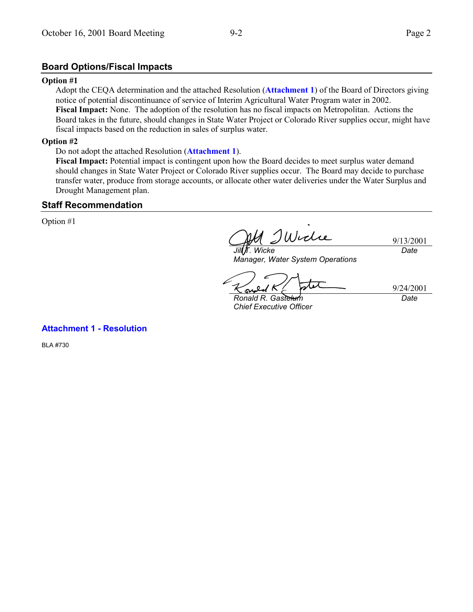# **Board Options/Fiscal Impacts**

#### **Option #1**

Adopt the CEQA determination and the attached Resolution (**Attachment 1**) of the Board of Directors giving notice of potential discontinuance of service of Interim Agricultural Water Program water in 2002. **Fiscal Impact:** None. The adoption of the resolution has no fiscal impacts on Metropolitan. Actions the Board takes in the future, should changes in State Water Project or Colorado River supplies occur, might have fiscal impacts based on the reduction in sales of surplus water.

## **Option #2**

#### Do not adopt the attached Resolution (**Attachment 1**).

**Fiscal Impact:** Potential impact is contingent upon how the Board decides to meet surplus water demand should changes in State Water Project or Colorado River supplies occur. The Board may decide to purchase transfer water, produce from storage accounts, or allocate other water deliveries under the Water Surplus and Drought Management plan.

### **Staff Recommendation**

Option #1

IWidie 9/13/2001 *Jill T. Wicke Date*

*Manager, Water System Operations*

su

9/24/2001 *Date*

*Ronald R. Gastelum Chief Executive Officer*

**Attachment 1 - Resolution**

BLA #730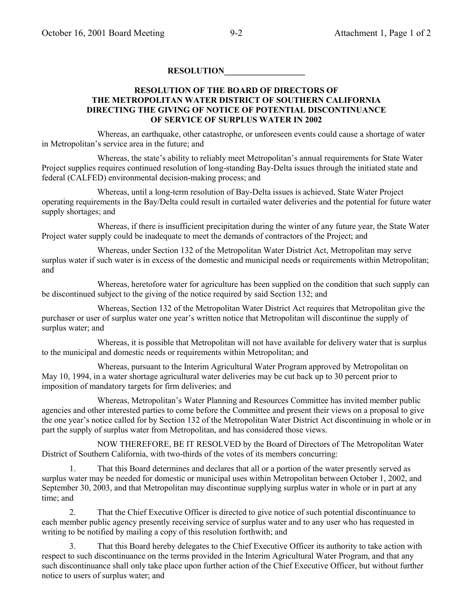### **RESOLUTION\_\_\_\_\_\_\_\_\_\_\_\_\_\_\_\_\_\_\_**

### **RESOLUTION OF THE BOARD OF DIRECTORS OF THE METROPOLITAN WATER DISTRICT OF SOUTHERN CALIFORNIA DIRECTING THE GIVING OF NOTICE OF POTENTIAL DISCONTINUANCE OF SERVICE OF SURPLUS WATER IN 2002**

Whereas, an earthquake, other catastrophe, or unforeseen events could cause a shortage of water in Metropolitan's service area in the future; and

Whereas, the state's ability to reliably meet Metropolitan's annual requirements for State Water Project supplies requires continued resolution of long-standing Bay-Delta issues through the initiated state and federal (CALFED) environmental decision-making process; and

Whereas, until a long-term resolution of Bay-Delta issues is achieved, State Water Project operating requirements in the Bay/Delta could result in curtailed water deliveries and the potential for future water supply shortages; and

Whereas, if there is insufficient precipitation during the winter of any future year, the State Water Project water supply could be inadequate to meet the demands of contractors of the Project; and

Whereas, under Section 132 of the Metropolitan Water District Act, Metropolitan may serve surplus water if such water is in excess of the domestic and municipal needs or requirements within Metropolitan; and

Whereas, heretofore water for agriculture has been supplied on the condition that such supply can be discontinued subject to the giving of the notice required by said Section 132; and

Whereas, Section 132 of the Metropolitan Water District Act requires that Metropolitan give the purchaser or user of surplus water one yearís written notice that Metropolitan will discontinue the supply of surplus water; and

Whereas, it is possible that Metropolitan will not have available for delivery water that is surplus to the municipal and domestic needs or requirements within Metropolitan; and

Whereas, pursuant to the Interim Agricultural Water Program approved by Metropolitan on May 10, 1994, in a water shortage agricultural water deliveries may be cut back up to 30 percent prior to imposition of mandatory targets for firm deliveries; and

Whereas, Metropolitanís Water Planning and Resources Committee has invited member public agencies and other interested parties to come before the Committee and present their views on a proposal to give the one year's notice called for by Section 132 of the Metropolitan Water District Act discontinuing in whole or in part the supply of surplus water from Metropolitan, and has considered those views.

NOW THEREFORE, BE IT RESOLVED by the Board of Directors of The Metropolitan Water District of Southern California, with two-thirds of the votes of its members concurring:

1. That this Board determines and declares that all or a portion of the water presently served as surplus water may be needed for domestic or municipal uses within Metropolitan between October 1, 2002, and September 30, 2003, and that Metropolitan may discontinue supplying surplus water in whole or in part at any time; and

2. That the Chief Executive Officer is directed to give notice of such potential discontinuance to each member public agency presently receiving service of surplus water and to any user who has requested in writing to be notified by mailing a copy of this resolution forthwith; and

3. That this Board hereby delegates to the Chief Executive Officer its authority to take action with respect to such discontinuance on the terms provided in the Interim Agricultural Water Program, and that any such discontinuance shall only take place upon further action of the Chief Executive Officer, but without further notice to users of surplus water; and